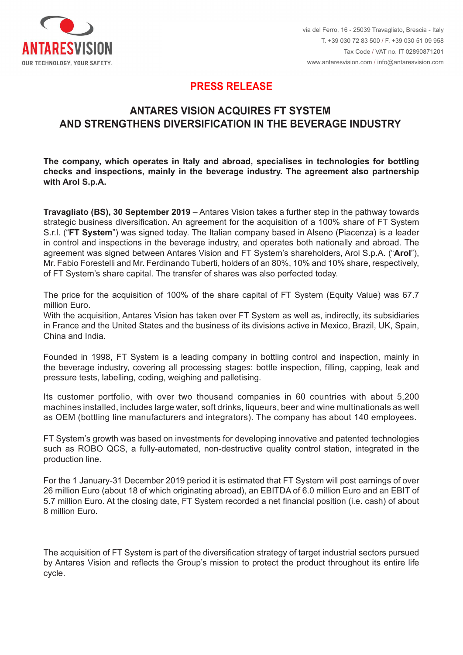

## **PRESS RELEASE PRESS RELEASE**

# **ANTARES VISION ACQUIRES FT SYSTEM** AND STRENGTHENS DIVERSIFICATION IN THE BEVERAGE INDUSTRY

The company, which operates in Italy and abroad, specialises in technologies for bottling The company, which operates in Italy and abroad, specialises in technologies for bottling<br>checks and inspections, mainly in the beverage industry. The agreement also partnership **l** with Arol S.p.A.  $\blacksquare$ 

**Travagliato (BS), 30 September 2019** – Antares Vision takes a further step in the pathway towards strategic business diversification. An agreement for the acquisition of a 100% share of FT System S.r.l. ("**FT System**") was signed today. The Italian company based in Alseno (Piacenza) is a leader in control and inspections in the beverage industry, and operates both nationally and abroad. The agreement was signed between Antares Vision and FT System's shareholders, Arol S.p.A. ("**Arol**"), Mr. Fabio Forestelli and Mr. Ferdinando Tuberti, holders of an 80%, 10% and 10% share, respectively, of FT System's share capital. The transfer of shares was also perfected today.

Il prezzo per l'acquisizione delle quote rappresentative del 100% del 100% del capitale di FT System (Equity) del capitale di FT System (Equity) del 100% del capitale di FT System (Equity) del 100% del capitale di FT Syste The price for the acquisition of 100% of the share capital of FT System (Equity Value) was 67.7 million Euro.

With the acquisition, Antares Vision has taken over FT System as well as, indirectly, its subsidiaries in France and the United States and the business of its divisions active in Mexico, Brazil, UK, Spain,<br>China and India. China and India.

the beverage industry, covering all processing stages: bottle inspection, filling, capping, leak and pressure tests, labelling, coding, weighing and palletising. Founded in 1998, FT System is a leading company in bottling control and inspection, mainly in

machines installed, includes large water, soft drinks, liqueurs, beer and wine multinationals as well as OEM (bottling line manufacturers and integrators). The company has about 140 employees. Its customer portfolio, with over two thousand companies in 60 countries with about 5,200

FT System's growth was based on investments for developing innovative and patented technologies  $\mathsf P \mathsf{roduction}$  line. The form of techologie innovative e  $\mathsf P \mathsf{F}$  innovative e  $\mathsf P \mathsf{F}$ such as ROBO QCS, a fully-automated, non-destructive quality control station, integrated in the

For the 1 January-31 December 2019 period it is estimated that FT System will post earnings of over 5.7 million Euro. At the closing date, FT System recorded a net financial position (i.e. cash) of about amillioni Euro. (di cui cui circa 18 originati all'estero), un EBITDA di 6,0 milioni di 6,0 milioni di 5,7 mili 26 million Euro (about 18 of which originating abroad), an EBITDA of 6.0 million Euro and an EBIT of

 $\Box$ cycle. Nella strategia di FT System s'inquadra nella strategia di diversificazione dei settori industriali di diversificazione di diversificazione dei settori industriali di diversificazione dei settori industriali di The acquisition of FT System is part of the diversification strategy of target industrial sectors pursued by Antares Vision and reflects the Group's mission to protect the product throughout its entire life cycle.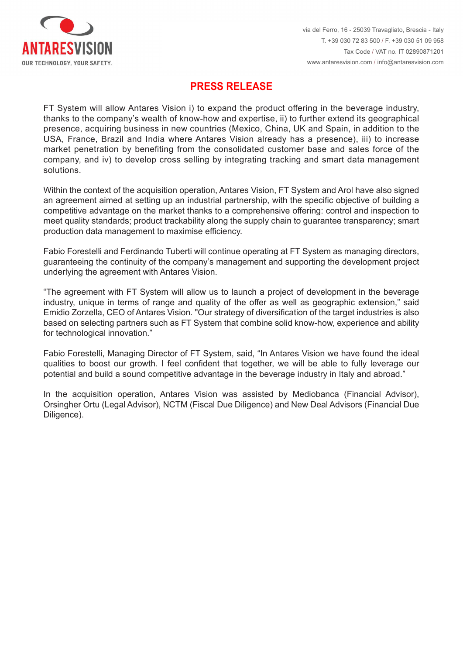

# **PRESS RELEASE PRESS RELEASE**

FT System will allow Antares Vision i) to expand the product offering in the beverage industry. thanks to the company's wealth of know-how and expertise, ii) to further extend its geographical presence, acquiring business in new countries (Mexico, China, UK and Spain, in addition to the USA, France, Brazil and India where Antares Vision already has a presence), iii) to increase market penetration by benefiting from the consolidated customer base and sales force of the company, and iv) to develop cross selling by integrating tracking and smart data management solutions. FT System will allow Antares Vision i) to expand the product offering in the beverage industry, thanks to the company's wealth of know-how and expertise, ii) to further extend its geographical presence, acquiring business

Within the context of the acquisition operation, Antares Vision, FT System and Arol have also signed an agreement aimed at setting up an industrial partnership, with the specific objective of building a competitive advantage on the market thanks to a comprehensive offering: control and inspection to meet quality standards; product trackability along the supply chain to guarantee transparency; smart production data management to maximise efficiency. an agreement aimed at setting up an industrial partnership, with the specific objective of building a<br>competitive advantage on the market thanks to a comprehensive offering: control and inspection to<br>meet quality standards

Fabio Forestelli and Ferdinando Tuberti will continue operating at FT System as managing directors, guaranteeing the continuity of the company's management and supporting the development project underlying the agreement with Antares Vision.

"The agreement with FT System will allow us to launch a project of development in the beverage industry, unique in terms of range and quality of the offer as well as geographic extension," said Emidio Zorzella, CEO of Antares Vision. "Our strategy of diversification of the target industries is also based on selecting partners such as FT System that combine solid know-how, experience and ability for technological innovation."

Fabio Forestelli, Managing Director of FT System, said, "In Antares Vision we have found the ideal qualities to boost our growth. I feel confident that together, we will be able to fully leverage our potential and build a sound competitive advantage in the beverage industry in Italy and abroad."

Orsingher Ortu (Legal Advisor), NCTM (Fiscal Due Diligence) and New Deal Advisors (Financial Due Ortugence), NCTM (Fiscal Due Diligence) e New Deal Advisors (Financial Due Diligence) e New Deal Advisors (Financial Due Diligence) e New Deal Advisors (Financial Due Diligence) e New Deal Advisors (Financial Due Diligence In the acquisition operation, Antares Vision was assisted by Mediobanca (Financial Advisor), Diligence).